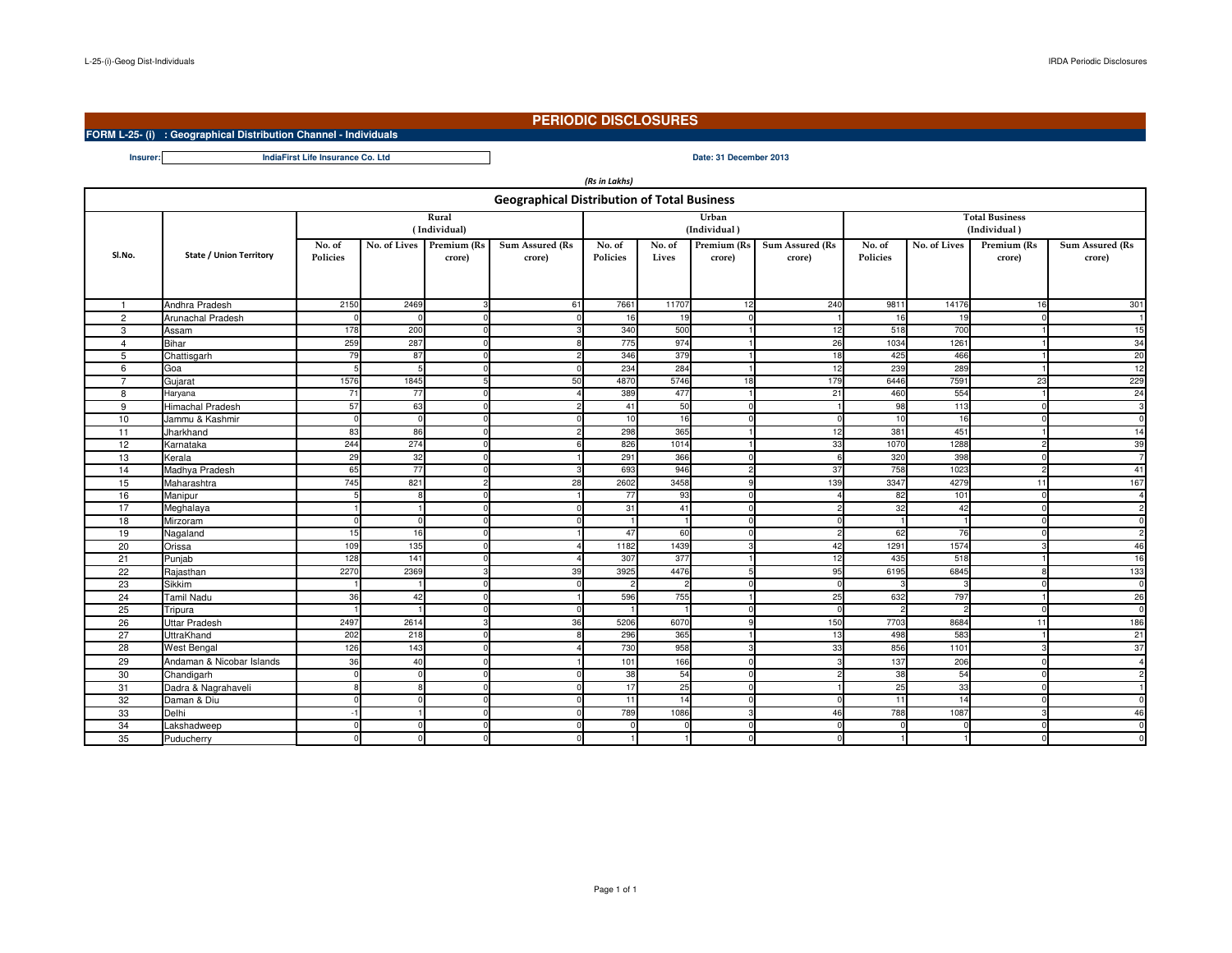**Insurer:**

## **PERIODIC DISCLOSURES**

## **FORM L-25- (i) : Geographical Distribution Channel - Individuals**

**Date: 31 December 2013IndiaFirst Life Insurance Co. Ltd**

| (Rs in Lakhs)                                      |                                |                           |          |                                    |                           |                    |                 |                       |                           |                           |              |                       |                           |
|----------------------------------------------------|--------------------------------|---------------------------|----------|------------------------------------|---------------------------|--------------------|-----------------|-----------------------|---------------------------|---------------------------|--------------|-----------------------|---------------------------|
| <b>Geographical Distribution of Total Business</b> |                                |                           |          |                                    |                           |                    |                 |                       |                           |                           |              |                       |                           |
|                                                    |                                |                           | Rural    |                                    |                           |                    |                 | Urban                 |                           | <b>Total Business</b>     |              |                       |                           |
|                                                    |                                |                           |          |                                    |                           | (Individual)       |                 | (Individual)          |                           |                           |              |                       |                           |
| SI.No.                                             | <b>State / Union Territory</b> | No. of<br><b>Policies</b> |          | No. of Lives Premium (Rs<br>crore) | Sum Assured (Rs<br>crore) | No. of<br>Policies | No. of<br>Lives | Premium (Rs<br>crore) | Sum Assured (Rs<br>crore) | No. of<br><b>Policies</b> | No. of Lives | Premium (Rs<br>crore) | Sum Assured (Rs<br>crore) |
|                                                    | Andhra Pradesh                 | 2150                      | 2469     |                                    | 61                        | 7661               | 11707           | 12                    | 240                       | 9811                      | 14176        | 16                    | 301                       |
| $\overline{2}$                                     | Arunachal Pradesh              |                           |          |                                    |                           | 16                 | 19              | n                     |                           | 16                        | 19           | $\Omega$              |                           |
| 3                                                  | Assam                          | 178                       | 200      |                                    |                           | 340                | 500             |                       | 12                        | 518                       | 700          |                       | 15                        |
| $\overline{4}$                                     | <b>Bihar</b>                   | 259                       | 287      |                                    |                           | 775                | 974             |                       | 26                        | 1034                      | 1261         |                       | 34                        |
| 5                                                  | Chattisgarh                    | 79                        | 87       |                                    |                           | 346                | 379             |                       | 18                        | 425                       | 466          |                       | 20                        |
| 6                                                  | Goa                            |                           |          |                                    |                           | 234                | 284             |                       | 12                        | 239                       | 289          |                       | 12                        |
| $\overline{7}$                                     | Gujarat                        | 1576                      | 1845     |                                    | 50                        | 4870               | 5746            | 18                    | 179                       | 6446                      | 7591         | 23                    | 229                       |
| 8                                                  | Haryana                        | 71                        | 77       |                                    |                           | 389                | 477             |                       | 21                        | 460                       | 554          |                       | 24                        |
| 9                                                  | <b>Himachal Pradesh</b>        | 57                        | 63       |                                    |                           | 41                 | 50              |                       |                           | 98                        | 113          | $\Omega$              | 3                         |
| 10                                                 | Jammu & Kashmir                | $\Omega$                  | $\Omega$ |                                    |                           | 10                 | 16              | n                     | $\Omega$                  | 10                        | 16           | $\Omega$              | $\Omega$                  |
| 11                                                 | Jharkhand                      | 83                        | 86       |                                    |                           | 298                | 365             |                       | 12                        | 381                       | 451          |                       | 14                        |
| 12                                                 | Karnataka                      | 244                       | 274      |                                    |                           | 826                | 1014            |                       | 33                        | 1070                      | 1288         | $\overline{2}$        | 39                        |
| 13                                                 | Kerala                         | 29                        | 32       | $\Omega$                           |                           | 291                | 366             | n                     | 6                         | 320                       | 398          | $\mathbf 0$           | 7                         |
| 14                                                 | Madhya Pradesh                 | 65                        | 77       |                                    |                           | 693                | 946             | 2                     | 37                        | 758                       | 1023         | $\overline{2}$        | 41                        |
| 15                                                 | Maharashtra                    | 745                       | 821      | $\mathcal{D}$                      | 28                        | 2602               | 3458            | $\mathbf{Q}$          | 139                       | 3347                      | 4279         | 11                    | 167                       |
| 16                                                 | Manipur                        |                           | Я        |                                    |                           | 77                 | 93              | n                     |                           | 82                        | 101          | $\Omega$              | $\boldsymbol{A}$          |
| 17                                                 | Meghalaya                      |                           |          |                                    |                           | 31                 | 41              | n                     | s                         | 32                        | 42           | $\Omega$              | $\overline{c}$            |
| 18                                                 | Mirzoram                       | C                         | ſ        |                                    |                           |                    |                 |                       |                           |                           |              | $\Omega$              | $\Omega$                  |
| 19                                                 | Nagaland                       | 15                        | 16       |                                    |                           | 47                 | 60              |                       |                           | 62                        | 76           | $\Omega$              | $\overline{2}$            |
| 20                                                 | Orissa                         | 109                       | 135      |                                    |                           | 1182               | 1439            |                       | 42                        | 1291                      | 1574         | З                     | 46                        |
| 21                                                 | Punjab                         | 128                       | 141      |                                    |                           | 307                | 377             |                       | 12                        | 435                       | 518          | $\overline{1}$        | 16                        |
| 22                                                 | Rajasthan                      | 2270                      | 2369     |                                    | 39                        | 3925               | 4476            |                       | 95                        | 6195                      | 6845         | -8                    | 133                       |
| 23                                                 | Sikkim                         |                           |          |                                    |                           | -2                 | 2               |                       | $\Omega$                  | -3                        | з            | $\Omega$              | $\Omega$                  |
| 24                                                 | <b>Tamil Nadu</b>              | 36                        | 42       |                                    |                           | 596                | 755             |                       | 25                        | 632                       | 797          | $\overline{1}$        | 26                        |
| 25                                                 | Tripura                        |                           |          |                                    |                           |                    |                 |                       | $\Omega$                  |                           |              | $\Omega$              | $\Omega$                  |
| 26                                                 | <b>Uttar Pradesh</b>           | 2497                      | 2614     |                                    | 36                        | 5206               | 6070            |                       | 150                       | 7703                      | 8684         | 11                    | 186                       |
| 27                                                 | UttraKhand                     | 202                       | 218      |                                    |                           | 296                | 365             |                       | 13                        | 498                       | 583          | $\overline{1}$        | 21                        |
| 28                                                 | <b>West Bengal</b>             | 126                       | 143      |                                    |                           | 730                | 958             |                       | 33                        | 856                       | 1101         | 3                     | 37                        |
| 29                                                 | Andaman & Nicobar Islands      | 36                        | 40       |                                    |                           | 101                | 166             |                       |                           | 137                       | 206          | $\Omega$              | $\overline{4}$            |
| 30                                                 | Chandigarh                     | $\Omega$                  | $\Omega$ | $\Omega$                           |                           | 38                 | 54              | n                     | 2                         | 38                        | 54           | $\mathbf 0$           | $\overline{c}$            |
| 31                                                 | Dadra & Nagrahaveli            | 8                         | Я        |                                    |                           | 17                 | 25              | <sup>0</sup>          |                           | 25                        | 33           | $\mathbf 0$           |                           |
| 32                                                 | Daman & Diu                    |                           |          |                                    |                           | 11                 | 14              | $\Omega$              |                           | 11                        | 14           | $\Omega$              | $\Omega$                  |
| 33                                                 | Delhi                          |                           |          |                                    |                           | 789                | 1086            |                       | 46                        | 788                       | 1087         | $\mathcal{R}$         | 46                        |
| 34                                                 | Lakshadweep                    | $\Omega$                  | $\Omega$ | $\Omega$                           |                           | $\Omega$           | $\Omega$        | <sup>0</sup>          | $\Omega$                  | $\Omega$                  | $\Omega$     | $\Omega$              | $\Omega$                  |
| 35                                                 | Puducherry                     |                           |          |                                    |                           |                    |                 |                       |                           |                           |              | $\mathbf 0$           | $\Omega$                  |